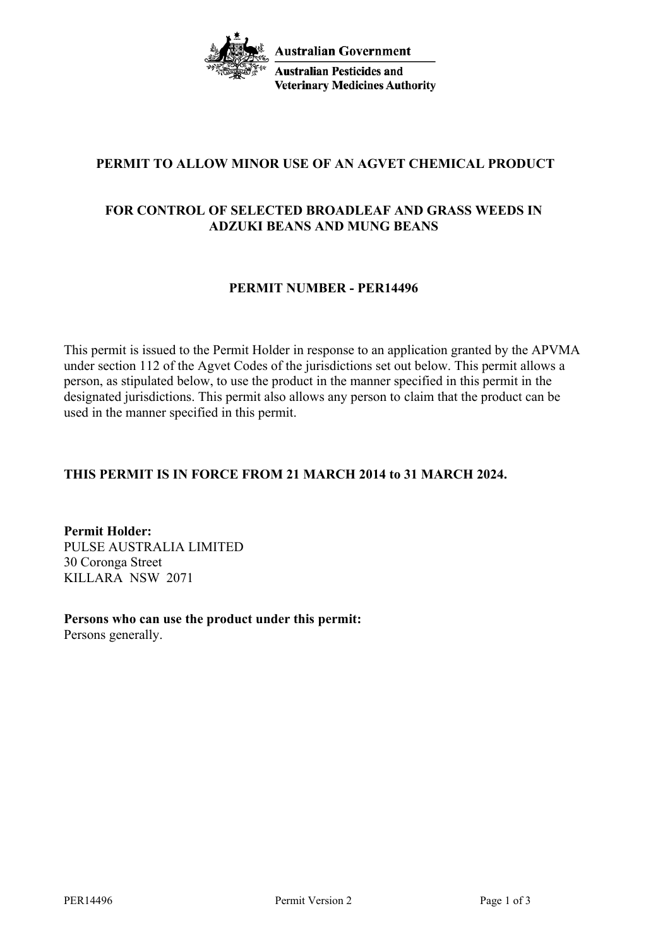**Australian Government Australian Pesticides and Veterinary Medicines Authority** 

# **PERMIT TO ALLOW MINOR USE OF AN AGVET CHEMICAL PRODUCT**

## **FOR CONTROL OF SELECTED BROADLEAF AND GRASS WEEDS IN ADZUKI BEANS AND MUNG BEANS**

### **PERMIT NUMBER - PER14496**

This permit is issued to the Permit Holder in response to an application granted by the APVMA under section 112 of the Agvet Codes of the jurisdictions set out below. This permit allows a person, as stipulated below, to use the product in the manner specified in this permit in the designated jurisdictions. This permit also allows any person to claim that the product can be used in the manner specified in this permit.

## **THIS PERMIT IS IN FORCE FROM 21 MARCH 2014 to 31 MARCH 2024.**

**Permit Holder:** PULSE AUSTRALIA LIMITED 30 Coronga Street KILLARA NSW 2071

**Persons who can use the product under this permit:** Persons generally.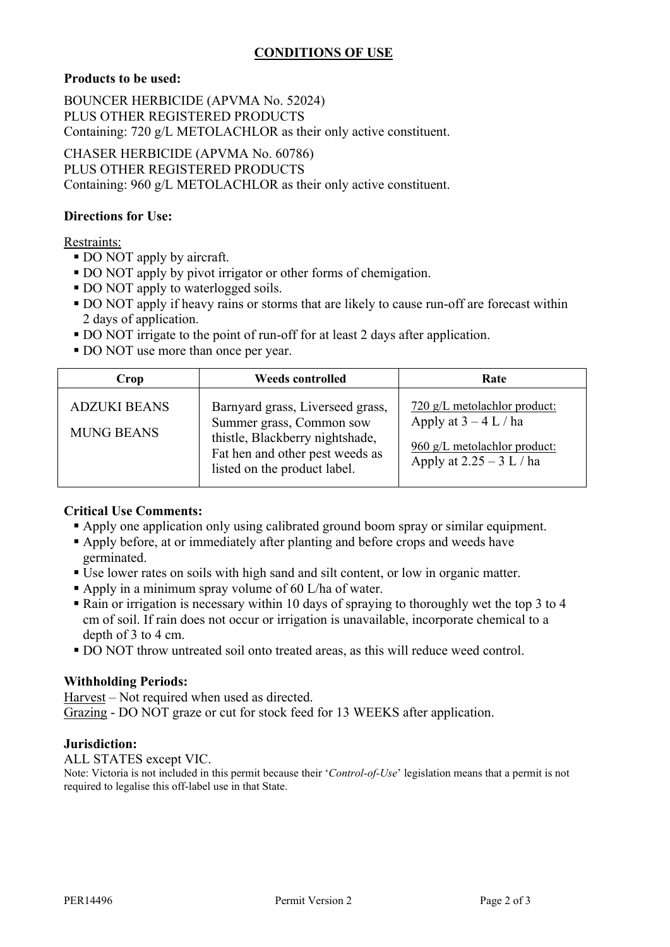# **CONDITIONS OF USE**

#### **Products to be used:**

BOUNCER HERBICIDE (APVMA No. 52024) PLUS OTHER REGISTERED PRODUCTS Containing: 720 g/L METOLACHLOR as their only active constituent.

CHASER HERBICIDE (APVMA No. 60786) PLUS OTHER REGISTERED PRODUCTS Containing: 960 g/L METOLACHLOR as their only active constituent.

#### **Directions for Use:**

#### Restraints:

- DO NOT apply by aircraft.
- DO NOT apply by pivot irrigator or other forms of chemigation.
- DO NOT apply to waterlogged soils.
- DO NOT apply if heavy rains or storms that are likely to cause run-off are forecast within 2 days of application.
- DO NOT irrigate to the point of run-off for at least 2 days after application.
- DO NOT use more than once per year.

| Crop                                     | <b>Weeds controlled</b>                                                                                                                                            | Rate                                                                                                                  |
|------------------------------------------|--------------------------------------------------------------------------------------------------------------------------------------------------------------------|-----------------------------------------------------------------------------------------------------------------------|
| <b>ADZUKI BEANS</b><br><b>MUNG BEANS</b> | Barnyard grass, Liverseed grass,<br>Summer grass, Common sow<br>thistle, Blackberry nightshade,<br>Fat hen and other pest weeds as<br>listed on the product label. | 720 g/L metolachlor product:<br>Apply at $3 - 4$ L / ha<br>960 g/L metolachlor product:<br>Apply at $2.25 - 3 L / ha$ |

#### **Critical Use Comments:**

- Apply one application only using calibrated ground boom spray or similar equipment.
- Apply before, at or immediately after planting and before crops and weeds have germinated.
- Use lower rates on soils with high sand and silt content, or low in organic matter.
- Apply in a minimum spray volume of 60 L/ha of water.
- Rain or irrigation is necessary within 10 days of spraying to thoroughly wet the top 3 to 4 cm of soil. If rain does not occur or irrigation is unavailable, incorporate chemical to a depth of 3 to 4 cm.
- DO NOT throw untreated soil onto treated areas, as this will reduce weed control.

#### **Withholding Periods:**

Harvest – Not required when used as directed. Grazing - DO NOT graze or cut for stock feed for 13 WEEKS after application.

#### **Jurisdiction:**

ALL STATES except VIC.

Note: Victoria is not included in this permit because their '*Control-of-Use*' legislation means that a permit is not required to legalise this off-label use in that State.